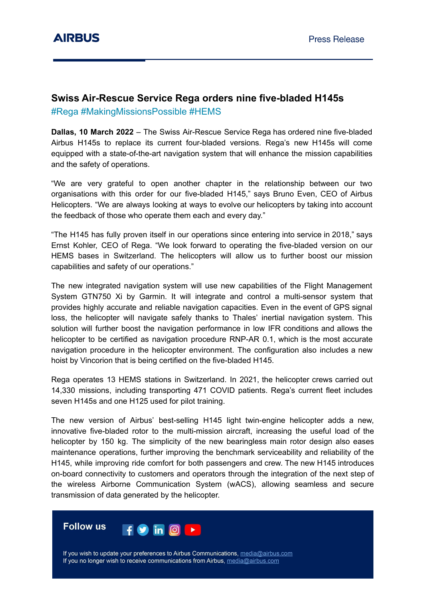## **Swiss Air-Rescue Service Rega orders nine five-bladed H145s**

#Rega #MakingMissionsPossible #HEMS

**Dallas, 10 March 2022** – The Swiss Air-Rescue Service Rega has ordered nine five-bladed Airbus H145s to replace its current four-bladed versions. Rega's new H145s will come equipped with a state-of-the-art navigation system that will enhance the mission capabilities and the safety of operations.

"We are very grateful to open another chapter in the relationship between our two organisations with this order for our five-bladed H145," says Bruno Even, CEO of Airbus Helicopters. "We are always looking at ways to evolve our helicopters by taking into account the feedback of those who operate them each and every day."

"The H145 has fully proven itself in our operations since entering into service in 2018," says Ernst Kohler, CEO of Rega. "We look forward to operating the five-bladed version on our HEMS bases in Switzerland. The helicopters will allow us to further boost our mission capabilities and safety of our operations."

The new integrated navigation system will use new capabilities of the Flight Management System GTN750 Xi by Garmin. It will integrate and control a multi-sensor system that provides highly accurate and reliable navigation capacities. Even in the event of GPS signal loss, the helicopter will navigate safely thanks to Thales' inertial navigation system. This solution will further boost the navigation performance in low IFR conditions and allows the helicopter to be certified as navigation procedure RNP-AR 0.1, which is the most accurate navigation procedure in the helicopter environment. The configuration also includes a new hoist by Vincorion that is being certified on the five-bladed H145.

Rega operates 13 HEMS stations in Switzerland. In 2021, the helicopter crews carried out 14,330 missions, including transporting 471 COVID patients. Rega's current fleet includes seven H145s and one H125 used for pilot training.

The new version of Airbus' best-selling H145 light twin-engine helicopter adds a new, innovative five-bladed rotor to the multi-mission aircraft, increasing the useful load of the helicopter by 150 kg. The simplicity of the new bearingless main rotor design also eases maintenance operations, further improving the benchmark serviceability and reliability of the H145, while improving ride comfort for both passengers and crew. The new H145 introduces on-board connectivity to customers and operators through the integration of the next step of the wireless Airborne Communication System (wACS), allowing seamless and secure transmission of data generated by the helicopter.

**Follow us** in.  $|O|$ 

If you wish to update your preferences to Airbus Communications, media@airbus.com If you no longer wish to receive communications from Airbus, media@airbus.com